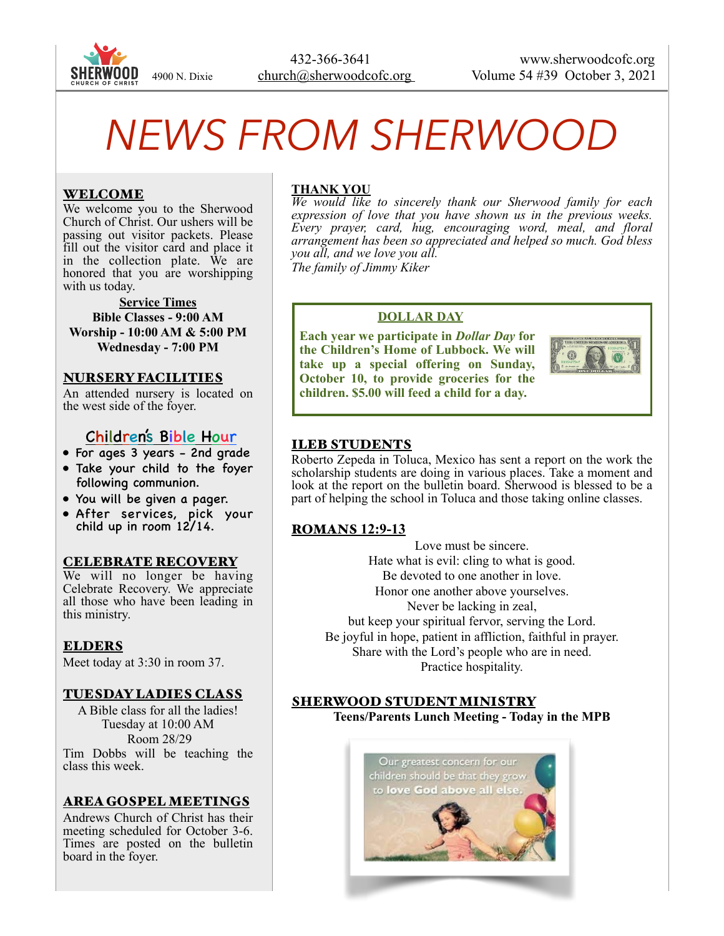

 432-366-3641 www.sherwoodcofc.org 4900 N. Dixie church@sherwoodcofc.org Volume 54 #39 October 3, 2021

# *NEWS FROM SHERWOOD*

## WELCOME

We welcome you to the Sherwood Church of Christ. Our ushers will be passing out visitor packets. Please fill out the visitor card and place it in the collection plate. We are honored that you are worshipping with us today.

**Service Times Bible Classes - 9:00 AM Worship - 10:00 AM & 5:00 PM Wednesday - 7:00 PM** 

#### NURSERY FACILITIES

An attended nursery is located on the west side of the foyer.

## Children's Bible Hour

- For ages 3 years 2nd grade
- Take your child to the foyer following communion.
- You will be given a pager.
- After services, pick your child up in room 12/14.

#### CELEBRATE RECOVERY

We will no longer be having Celebrate Recovery. We appreciate all those who have been leading in this ministry.

#### ELDERS

Meet today at 3:30 in room 37.

#### TUESDAY LADIES CLASS

A Bible class for all the ladies! Tuesday at 10:00 AM Room 28/29 Tim Dobbs will be teaching the class this week.

# AREA GOSPEL MEETINGS

Andrews Church of Christ has their meeting scheduled for October 3-6. Times are posted on the bulletin board in the foyer.

## **THANK YOU**

*We would like to sincerely thank our Sherwood family for each expression of love that you have shown us in the previous weeks. Every prayer, card, hug, encouraging word, meal, and floral arrangement has been so appreciated and helped so much. God bless you all, and we love you all. The family of Jimmy Kiker*

#### **DOLLAR DAY**

**Each year we participate in** *Dollar Day* **for the Children's Home of Lubbock. We will take up a special offering on Sunday, October 10, to provide groceries for the children. \$5.00 will feed a child for a day.** 



## ILEB STUDENTS

Roberto Zepeda in Toluca, Mexico has sent a report on the work the scholarship students are doing in various places. Take a moment and look at the report on the bulletin board. Sherwood is blessed to be a part of helping the school in Toluca and those taking online classes.

## ROMANS **12:9-13**

Love must be sincere. Hate what is evil: cling to what is good. Be devoted to one another in love. Honor one another above yourselves. Never be lacking in zeal, but keep your spiritual fervor, serving the Lord. Be joyful in hope, patient in affliction, faithful in prayer. Share with the Lord's people who are in need. Practice hospitality.

#### SHERWOOD STUDENT MINISTRY **Teens/Parents Lunch Meeting - Today in the MPB**